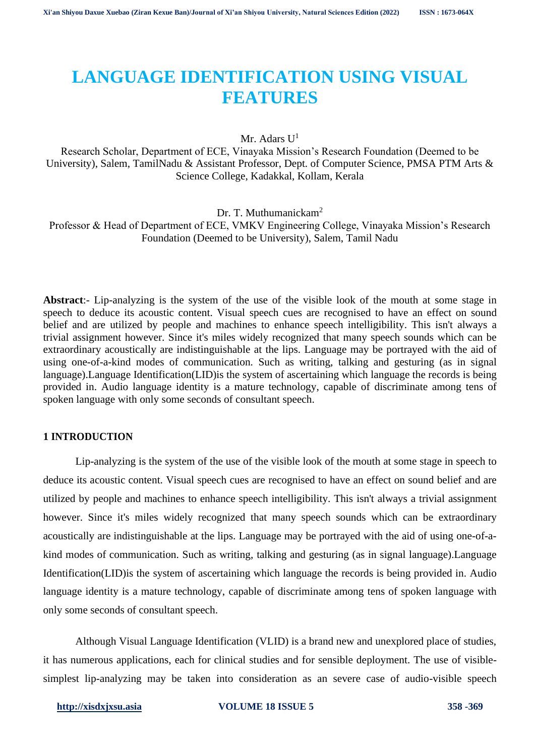# **LANGUAGE IDENTIFICATION USING VISUAL FEATURES**

Mr. Adars  $U^1$ 

Research Scholar, Department of ECE, Vinayaka Mission's Research Foundation (Deemed to be University), Salem, TamilNadu & Assistant Professor, Dept. of Computer Science, PMSA PTM Arts & Science College, Kadakkal, Kollam, Kerala

Dr. T. Muthumanickam<sup>2</sup> Professor & Head of Department of ECE, VMKV Engineering College, Vinayaka Mission's Research Foundation (Deemed to be University), Salem, Tamil Nadu

**Abstract**:- Lip-analyzing is the system of the use of the visible look of the mouth at some stage in speech to deduce its acoustic content. Visual speech cues are recognised to have an effect on sound belief and are utilized by people and machines to enhance speech intelligibility. This isn't always a trivial assignment however. Since it's miles widely recognized that many speech sounds which can be extraordinary acoustically are indistinguishable at the lips. Language may be portrayed with the aid of using one-of-a-kind modes of communication. Such as writing, talking and gesturing (as in signal language).Language Identification(LID)is the system of ascertaining which language the records is being provided in. Audio language identity is a mature technology, capable of discriminate among tens of spoken language with only some seconds of consultant speech.

# **1 INTRODUCTION**

Lip-analyzing is the system of the use of the visible look of the mouth at some stage in speech to deduce its acoustic content. Visual speech cues are recognised to have an effect on sound belief and are utilized by people and machines to enhance speech intelligibility. This isn't always a trivial assignment however. Since it's miles widely recognized that many speech sounds which can be extraordinary acoustically are indistinguishable at the lips. Language may be portrayed with the aid of using one-of-akind modes of communication. Such as writing, talking and gesturing (as in signal language).Language Identification(LID)is the system of ascertaining which language the records is being provided in. Audio language identity is a mature technology, capable of discriminate among tens of spoken language with only some seconds of consultant speech.

Although Visual Language Identification (VLID) is a brand new and unexplored place of studies, it has numerous applications, each for clinical studies and for sensible deployment. The use of visiblesimplest lip-analyzing may be taken into consideration as an severe case of audio-visible speech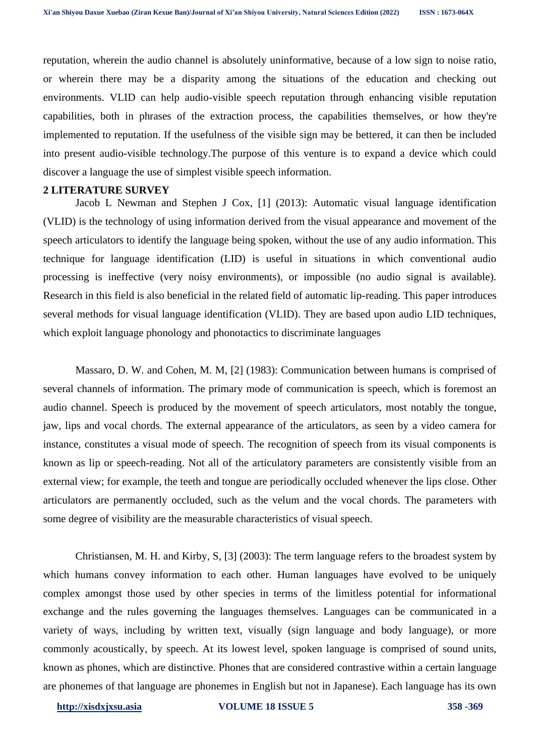reputation, wherein the audio channel is absolutely uninformative, because of a low sign to noise ratio, or wherein there may be a disparity among the situations of the education and checking out environments. VLID can help audio-visible speech reputation through enhancing visible reputation capabilities, both in phrases of the extraction process, the capabilities themselves, or how they're implemented to reputation. If the usefulness of the visible sign may be bettered, it can then be included into present audio-visible technology.The purpose of this venture is to expand a device which could discover a language the use of simplest visible speech information.

#### **2 LITERATURE SURVEY**

Jacob L Newman and Stephen J Cox, [1] (2013): Automatic visual language identification (VLID) is the technology of using information derived from the visual appearance and movement of the speech articulators to identify the language being spoken, without the use of any audio information. This technique for language identification (LID) is useful in situations in which conventional audio processing is ineffective (very noisy environments), or impossible (no audio signal is available). Research in this field is also beneficial in the related field of automatic lip-reading. This paper introduces several methods for visual language identification (VLID). They are based upon audio LID techniques, which exploit language phonology and phonotactics to discriminate languages

Massaro, D. W. and Cohen, M. M, [2] (1983): Communication between humans is comprised of several channels of information. The primary mode of communication is speech, which is foremost an audio channel. Speech is produced by the movement of speech articulators, most notably the tongue, jaw, lips and vocal chords. The external appearance of the articulators, as seen by a video camera for instance, constitutes a visual mode of speech. The recognition of speech from its visual components is known as lip or speech-reading. Not all of the articulatory parameters are consistently visible from an external view; for example, the teeth and tongue are periodically occluded whenever the lips close. Other articulators are permanently occluded, such as the velum and the vocal chords. The parameters with some degree of visibility are the measurable characteristics of visual speech.

Christiansen, M. H. and Kirby, S, [3] (2003): The term language refers to the broadest system by which humans convey information to each other. Human languages have evolved to be uniquely complex amongst those used by other species in terms of the limitless potential for informational exchange and the rules governing the languages themselves. Languages can be communicated in a variety of ways, including by written text, visually (sign language and body language), or more commonly acoustically, by speech. At its lowest level, spoken language is comprised of sound units, known as phones, which are distinctive. Phones that are considered contrastive within a certain language are phonemes of that language are phonemes in English but not in Japanese). Each language has its own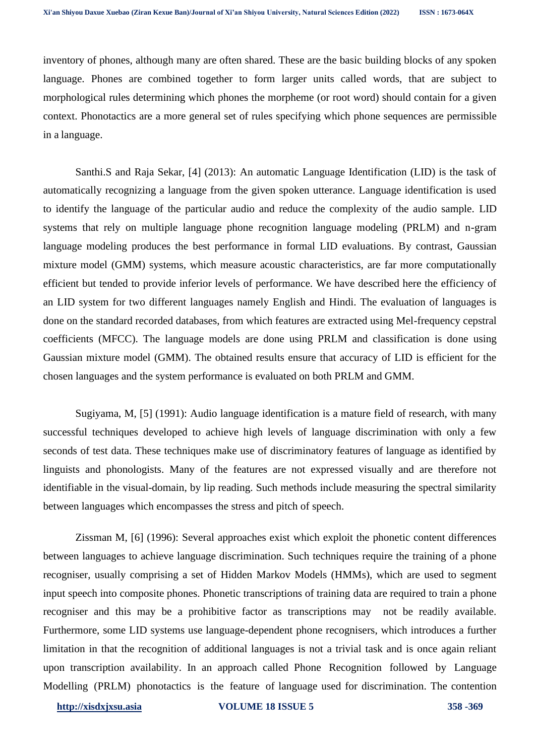inventory of phones, although many are often shared. These are the basic building blocks of any spoken language. Phones are combined together to form larger units called words, that are subject to morphological rules determining which phones the morpheme (or root word) should contain for a given context. Phonotactics are a more general set of rules specifying which phone sequences are permissible in a language.

Santhi.S and Raja Sekar, [4] (2013): An automatic Language Identification (LID) is the task of automatically recognizing a language from the given spoken utterance. Language identification is used to identify the language of the particular audio and reduce the complexity of the audio sample. LID systems that rely on multiple language phone recognition language modeling (PRLM) and n-gram language modeling produces the best performance in formal LID evaluations. By contrast, Gaussian mixture model (GMM) systems, which measure acoustic characteristics, are far more computationally efficient but tended to provide inferior levels of performance. We have described here the efficiency of an LID system for two different languages namely English and Hindi. The evaluation of languages is done on the standard recorded databases, from which features are extracted using Mel-frequency cepstral coefficients (MFCC). The language models are done using PRLM and classification is done using Gaussian mixture model (GMM). The obtained results ensure that accuracy of LID is efficient for the chosen languages and the system performance is evaluated on both PRLM and GMM.

Sugiyama, M, [5] (1991): Audio language identification is a mature field of research, with many successful techniques developed to achieve high levels of language discrimination with only a few seconds of test data. These techniques make use of discriminatory features of language as identified by linguists and phonologists. Many of the features are not expressed visually and are therefore not identifiable in the visual-domain, by lip reading. Such methods include measuring the spectral similarity between languages which encompasses the stress and pitch of speech.

Zissman M, [6] (1996): Several approaches exist which exploit the phonetic content differences between languages to achieve language discrimination. Such techniques require the training of a phone recogniser, usually comprising a set of Hidden Markov Models (HMMs), which are used to segment input speech into composite phones. Phonetic transcriptions of training data are required to train a phone recogniser and this may be a prohibitive factor as transcriptions may not be readily available. Furthermore, some LID systems use language-dependent phone recognisers, which introduces a further limitation in that the recognition of additional languages is not a trivial task and is once again reliant upon transcription availability. In an approach called Phone Recognition followed by Language Modelling (PRLM) phonotactics is the feature of language used for discrimination. The contention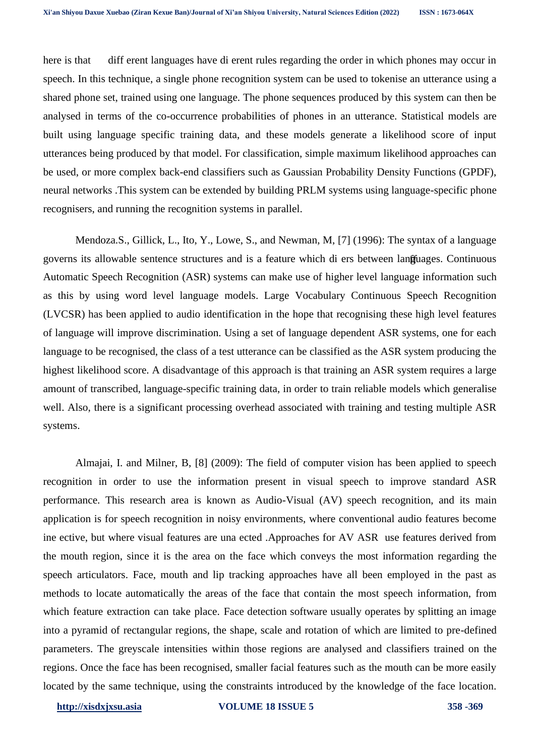here is that diff erent languages have di erent rules regarding the order in which phones may occur in speech. In this technique, a single phone recognition system can be used to tokenise an utterance using a shared phone set, trained using one language. The phone sequences produced by this system can then be analysed in terms of the co-occurrence probabilities of phones in an utterance. Statistical models are built using language specific training data, and these models generate a likelihood score of input utterances being produced by that model. For classification, simple maximum likelihood approaches can be used, or more complex back-end classifiers such as Gaussian Probability Density Functions (GPDF), neural networks .This system can be extended by building PRLM systems using language-specific phone recognisers, and running the recognition systems in parallel.

Mendoza.S., Gillick, L., Ito, Y., Lowe, S., and Newman, M, [7] (1996): The syntax of a language governs its allowable sentence structures and is a feature which di ers between languages. Continuous Automatic Speech Recognition (ASR) systems can make use of higher level language information such as this by using word level language models. Large Vocabulary Continuous Speech Recognition (LVCSR) has been applied to audio identification in the hope that recognising these high level features of language will improve discrimination. Using a set of language dependent ASR systems, one for each language to be recognised, the class of a test utterance can be classified as the ASR system producing the highest likelihood score. A disadvantage of this approach is that training an ASR system requires a large amount of transcribed, language-specific training data, in order to train reliable models which generalise well. Also, there is a significant processing overhead associated with training and testing multiple ASR systems.

Almajai, I. and Milner, B, [8] (2009): The field of computer vision has been applied to speech recognition in order to use the information present in visual speech to improve standard ASR performance. This research area is known as Audio-Visual (AV) speech recognition, and its main application is for speech recognition in noisy environments, where conventional audio features become ine ective, but where visual features are una ected .Approaches for AV ASR use features derived from the mouth region, since it is the area on the face which conveys the most information regarding the speech articulators. Face, mouth and lip tracking approaches have all been employed in the past as methods to locate automatically the areas of the face that contain the most speech information, from which feature extraction can take place. Face detection software usually operates by splitting an image into a pyramid of rectangular regions, the shape, scale and rotation of which are limited to pre-defined parameters. The greyscale intensities within those regions are analysed and classifiers trained on the regions. Once the face has been recognised, smaller facial features such as the mouth can be more easily located by the same technique, using the constraints introduced by the knowledge of the face location.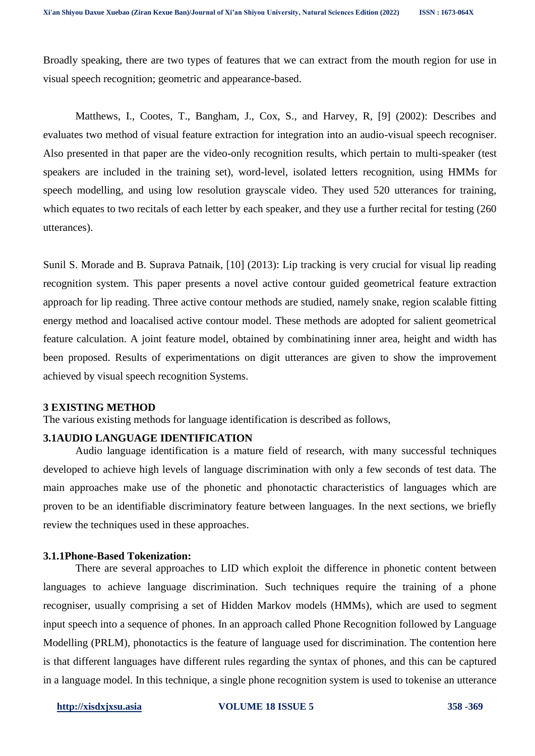Broadly speaking, there are two types of features that we can extract from the mouth region for use in visual speech recognition; geometric and appearance-based.

Matthews, I., Cootes, T., Bangham, J., Cox, S., and Harvey, R, [9] (2002): Describes and evaluates two method of visual feature extraction for integration into an audio-visual speech recogniser. Also presented in that paper are the video-only recognition results, which pertain to multi-speaker (test speakers are included in the training set), word-level, isolated letters recognition, using HMMs for speech modelling, and using low resolution grayscale video. They used 520 utterances for training, which equates to two recitals of each letter by each speaker, and they use a further recital for testing (260 utterances).

Sunil S. Morade and B. Suprava Patnaik, [10] (2013): Lip tracking is very crucial for visual lip reading recognition system. This paper presents a novel active contour guided geometrical feature extraction approach for lip reading. Three active contour methods are studied, namely snake, region scalable fitting energy method and loacalised active contour model. These methods are adopted for salient geometrical feature calculation. A joint feature model, obtained by combinatining inner area, height and width has been proposed. Results of experimentations on digit utterances are given to show the improvement achieved by visual speech recognition Systems.

#### **3 EXISTING METHOD**

The various existing methods for language identification is described as follows,

# **3.1AUDIO LANGUAGE IDENTIFICATION**

Audio language identification is a mature field of research, with many successful techniques developed to achieve high levels of language discrimination with only a few seconds of test data. The main approaches make use of the phonetic and phonotactic characteristics of languages which are proven to be an identifiable discriminatory feature between languages. In the next sections, we briefly review the techniques used in these approaches.

## **3.1.1Phone-Based Tokenization:**

There are several approaches to LID which exploit the difference in phonetic content between languages to achieve language discrimination. Such techniques require the training of a phone recogniser, usually comprising a set of Hidden Markov models (HMMs), which are used to segment input speech into a sequence of phones. In an approach called Phone Recognition followed by Language Modelling (PRLM), phonotactics is the feature of language used for discrimination. The contention here is that different languages have different rules regarding the syntax of phones, and this can be captured in a language model. In this technique, a single phone recognition system is used to tokenise an utterance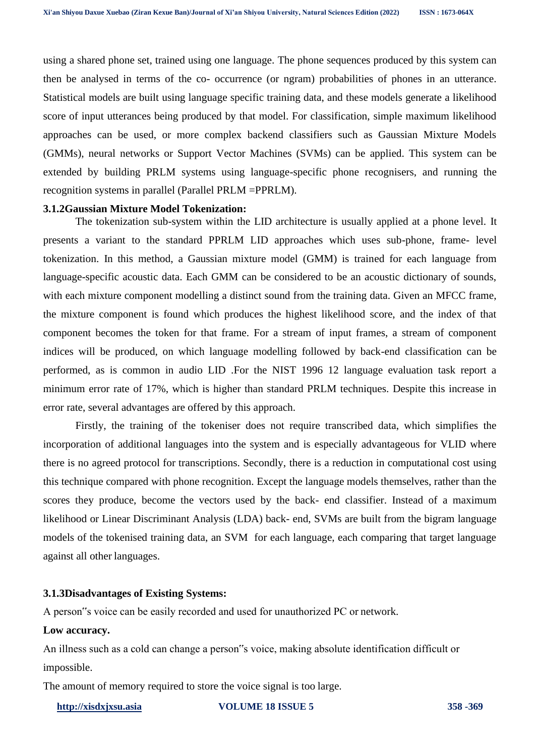using a shared phone set, trained using one language. The phone sequences produced by this system can then be analysed in terms of the co- occurrence (or ngram) probabilities of phones in an utterance. Statistical models are built using language specific training data, and these models generate a likelihood score of input utterances being produced by that model. For classification, simple maximum likelihood approaches can be used, or more complex backend classifiers such as Gaussian Mixture Models (GMMs), neural networks or Support Vector Machines (SVMs) can be applied. This system can be extended by building PRLM systems using language-specific phone recognisers, and running the recognition systems in parallel (Parallel PRLM =PPRLM).

#### **3.1.2Gaussian Mixture Model Tokenization:**

The tokenization sub-system within the LID architecture is usually applied at a phone level. It presents a variant to the standard PPRLM LID approaches which uses sub-phone, frame- level tokenization. In this method, a Gaussian mixture model (GMM) is trained for each language from language-specific acoustic data. Each GMM can be considered to be an acoustic dictionary of sounds, with each mixture component modelling a distinct sound from the training data. Given an MFCC frame, the mixture component is found which produces the highest likelihood score, and the index of that component becomes the token for that frame. For a stream of input frames, a stream of component indices will be produced, on which language modelling followed by back-end classification can be performed, as is common in audio LID .For the NIST 1996 12 language evaluation task report a minimum error rate of 17%, which is higher than standard PRLM techniques. Despite this increase in error rate, several advantages are offered by this approach.

Firstly, the training of the tokeniser does not require transcribed data, which simplifies the incorporation of additional languages into the system and is especially advantageous for VLID where there is no agreed protocol for transcriptions. Secondly, there is a reduction in computational cost using this technique compared with phone recognition. Except the language models themselves, rather than the scores they produce, become the vectors used by the back- end classifier. Instead of a maximum likelihood or Linear Discriminant Analysis (LDA) back- end, SVMs are built from the bigram language models of the tokenised training data, an SVM for each language, each comparing that target language against all other languages.

#### **3.1.3Disadvantages of Existing Systems:**

A person"s voice can be easily recorded and used for unauthorized PC or network.

## **Low accuracy.**

An illness such as a cold can change a person"s voice, making absolute identification difficult or impossible.

The amount of memory required to store the voice signal is too large.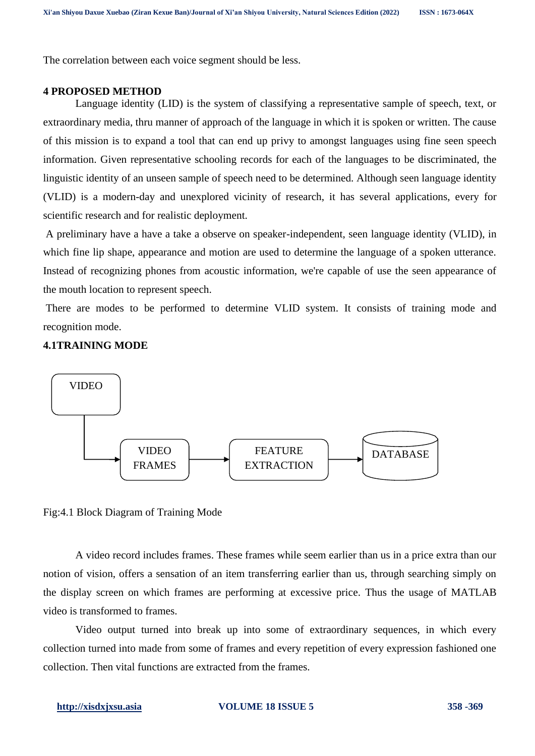The correlation between each voice segment should be less.

#### **4 PROPOSED METHOD**

Language identity (LID) is the system of classifying a representative sample of speech, text, or extraordinary media, thru manner of approach of the language in which it is spoken or written. The cause of this mission is to expand a tool that can end up privy to amongst languages using fine seen speech information. Given representative schooling records for each of the languages to be discriminated, the linguistic identity of an unseen sample of speech need to be determined. Although seen language identity (VLID) is a modern-day and unexplored vicinity of research, it has several applications, every for scientific research and for realistic deployment.

A preliminary have a have a take a observe on speaker-independent, seen language identity (VLID), in which fine lip shape, appearance and motion are used to determine the language of a spoken utterance. Instead of recognizing phones from acoustic information, we're capable of use the seen appearance of the mouth location to represent speech.

There are modes to be performed to determine VLID system. It consists of training mode and recognition mode.

## **4.1TRAINING MODE**



Fig:4.1 Block Diagram of Training Mode

A video record includes frames. These frames while seem earlier than us in a price extra than our notion of vision, offers a sensation of an item transferring earlier than us, through searching simply on the display screen on which frames are performing at excessive price. Thus the usage of MATLAB video is transformed to frames.

Video output turned into break up into some of extraordinary sequences, in which every collection turned into made from some of frames and every repetition of every expression fashioned one collection. Then vital functions are extracted from the frames.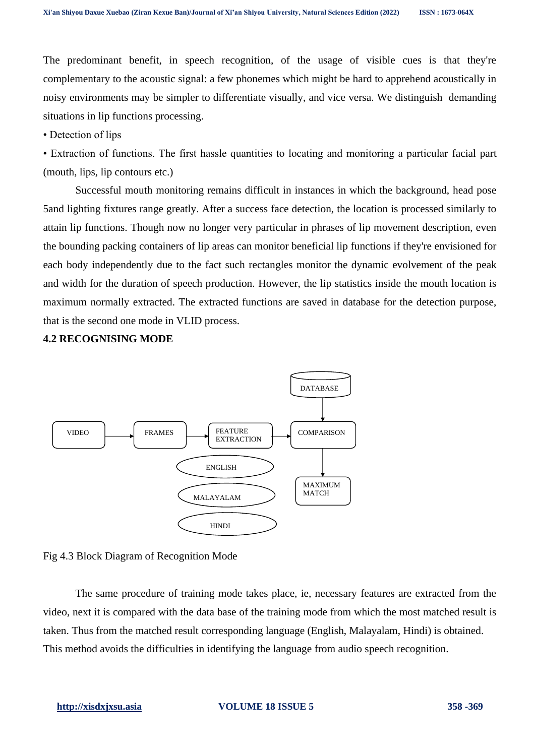The predominant benefit, in speech recognition, of the usage of visible cues is that they're complementary to the acoustic signal: a few phonemes which might be hard to apprehend acoustically in noisy environments may be simpler to differentiate visually, and vice versa. We distinguish demanding situations in lip functions processing.

• Detection of lips

• Extraction of functions. The first hassle quantities to locating and monitoring a particular facial part (mouth, lips, lip contours etc.)

Successful mouth monitoring remains difficult in instances in which the background, head pose 5and lighting fixtures range greatly. After a success face detection, the location is processed similarly to attain lip functions. Though now no longer very particular in phrases of lip movement description, even the bounding packing containers of lip areas can monitor beneficial lip functions if they're envisioned for each body independently due to the fact such rectangles monitor the dynamic evolvement of the peak and width for the duration of speech production. However, the lip statistics inside the mouth location is maximum normally extracted. The extracted functions are saved in database for the detection purpose, that is the second one mode in VLID process.

## **4.2 RECOGNISING MODE**



Fig 4.3 Block Diagram of Recognition Mode

The same procedure of training mode takes place, ie, necessary features are extracted from the video, next it is compared with the data base of the training mode from which the most matched result is taken. Thus from the matched result corresponding language (English, Malayalam, Hindi) is obtained. This method avoids the difficulties in identifying the language from audio speech recognition.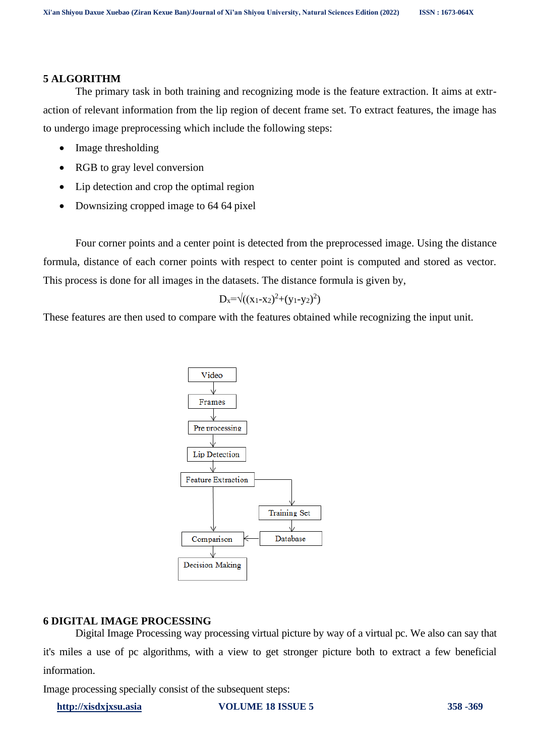#### **5 ALGORITHM**

The primary task in both training and recognizing mode is the feature extraction. It aims at extraction of relevant information from the lip region of decent frame set. To extract features, the image has to undergo image preprocessing which include the following steps:

- Image thresholding
- RGB to gray level conversion
- Lip detection and crop the optimal region
- Downsizing cropped image to 64 64 pixel

Four corner points and a center point is detected from the preprocessed image. Using the distance formula, distance of each corner points with respect to center point is computed and stored as vector. This process is done for all images in the datasets. The distance formula is given by,

$$
D_x = \sqrt{(x_1 - x_2)^2 + (y_1 - y_2)^2}
$$

These features are then used to compare with the features obtained while recognizing the input unit.



## **6 DIGITAL IMAGE PROCESSING**

Digital Image Processing way processing virtual picture by way of a virtual pc. We also can say that it's miles a use of pc algorithms, with a view to get stronger picture both to extract a few beneficial information.

Image processing specially consist of the subsequent steps: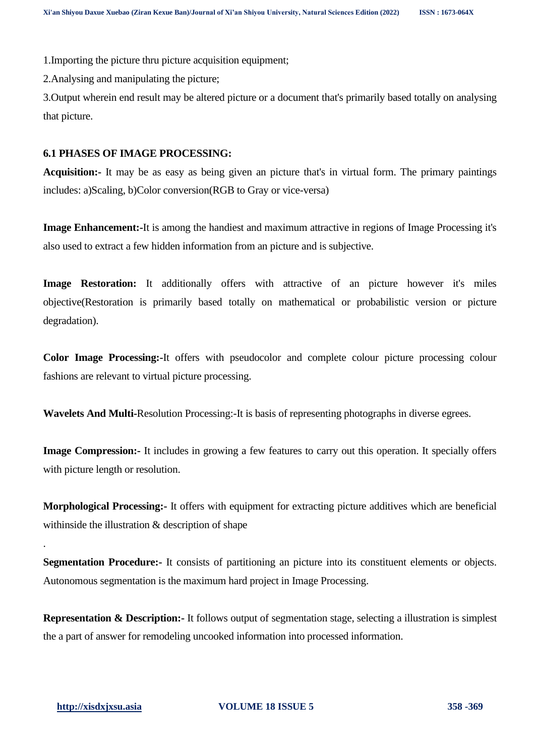1.Importing the picture thru picture acquisition equipment;

2.Analysing and manipulating the picture;

3.Output wherein end result may be altered picture or a document that's primarily based totally on analysing that picture.

## **6.1 PHASES OF IMAGE PROCESSING:**

**Acquisition:-** It may be as easy as being given an picture that's in virtual form. The primary paintings includes: a)Scaling, b)Color conversion(RGB to Gray or vice-versa)

**Image Enhancement:-**It is among the handiest and maximum attractive in regions of Image Processing it's also used to extract a few hidden information from an picture and is subjective.

**Image Restoration:** It additionally offers with attractive of an picture however it's miles objective(Restoration is primarily based totally on mathematical or probabilistic version or picture degradation).

**Color Image Processing:-**It offers with pseudocolor and complete colour picture processing colour fashions are relevant to virtual picture processing.

**Wavelets And Multi-**Resolution Processing:-It is basis of representing photographs in diverse egrees.

**Image Compression:-** It includes in growing a few features to carry out this operation. It specially offers with picture length or resolution.

**Morphological Processing:-** It offers with equipment for extracting picture additives which are beneficial withinside the illustration & description of shape

**Segmentation Procedure:-** It consists of partitioning an picture into its constituent elements or objects. Autonomous segmentation is the maximum hard project in Image Processing.

**Representation & Description:-** It follows output of segmentation stage, selecting a illustration is simplest the a part of answer for remodeling uncooked information into processed information.

.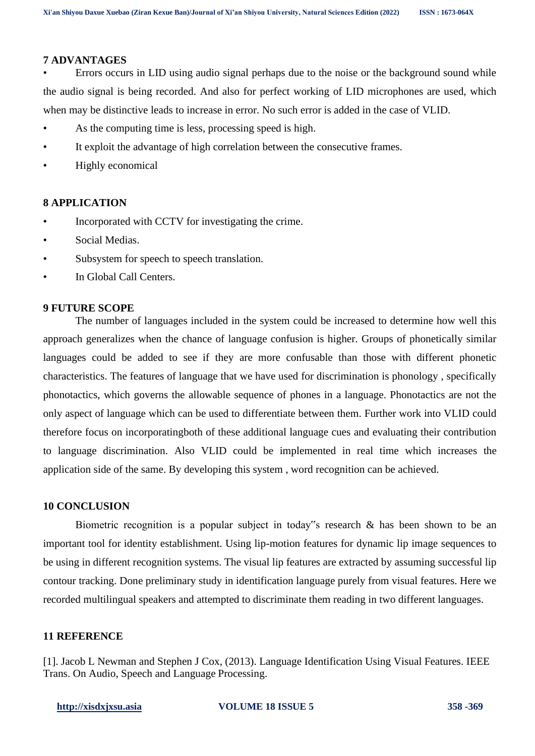## **7 ADVANTAGES**

• Errors occurs in LID using audio signal perhaps due to the noise or the background sound while the audio signal is being recorded. And also for perfect working of LID microphones are used, which when may be distinctive leads to increase in error. No such error is added in the case of VLID.

- As the computing time is less, processing speed is high.
- It exploit the advantage of high correlation between the consecutive frames.
- Highly economical

## **8 APPLICATION**

- Incorporated with CCTV for investigating the crime.
- Social Medias.
- Subsystem for speech to speech translation.
- In Global Call Centers.

## **9 FUTURE SCOPE**

The number of languages included in the system could be increased to determine how well this approach generalizes when the chance of language confusion is higher. Groups of phonetically similar languages could be added to see if they are more confusable than those with different phonetic characteristics. The features of language that we have used for discrimination is phonology , specifically phonotactics, which governs the allowable sequence of phones in a language. Phonotactics are not the only aspect of language which can be used to differentiate between them. Further work into VLID could therefore focus on incorporatingboth of these additional language cues and evaluating their contribution to language discrimination. Also VLID could be implemented in real time which increases the application side of the same. By developing this system , word recognition can be achieved.

## **10 CONCLUSION**

Biometric recognition is a popular subject in today"s research  $\&$  has been shown to be an important tool for identity establishment. Using lip-motion features for dynamic lip image sequences to be using in different recognition systems. The visual lip features are extracted by assuming successful lip contour tracking. Done preliminary study in identification language purely from visual features. Here we recorded multilingual speakers and attempted to discriminate them reading in two different languages.

# **11 REFERENCE**

[1]. Jacob L Newman and Stephen J Cox, (2013). Language Identification Using Visual Features. IEEE Trans. On Audio, Speech and Language Processing.